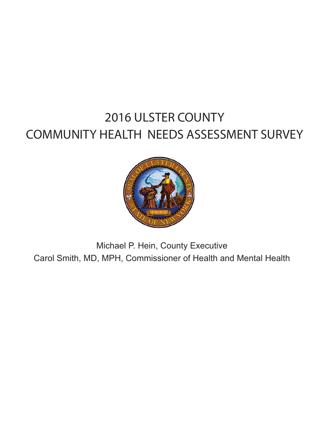# 2016 ULSTER COUNTY COMMUNITY HEALTH NEEDS ASSESSMENT SURVEY



Michael P. Hein, County Executive Carol Smith, MD, MPH, Commissioner of Health and Mental Health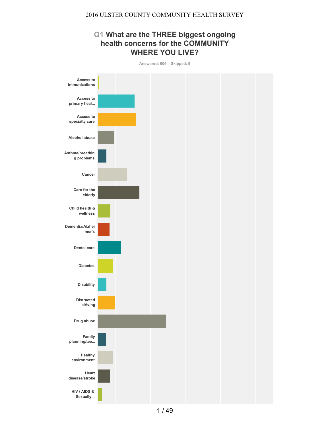## **Q1 What are the THREE biggest ongoing health concerns for the COMMUNITY WHERE YOU LIVE?**



**Answered: 606 Skipped: 9**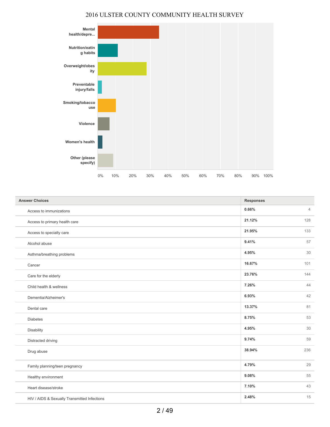

| <b>Answer Choices</b>                        | <b>Responses</b> |                |
|----------------------------------------------|------------------|----------------|
| Access to immunizations                      | 0.66%            | $\overline{4}$ |
| Access to primary health care                | 21.12%           | 128            |
| Access to specialty care                     | 21.95%           | 133            |
| Alcohol abuse                                | 9.41%            | 57             |
| Asthma/breathing problems                    | 4.95%            | 30             |
| Cancer                                       | 16.67%           | 101            |
| Care for the elderly                         | 23.76%           | 144            |
| Child health & wellness                      | 7.26%            | 44             |
| Dementia/Alzheimer's                         | 6.93%            | 42             |
| Dental care                                  | 13.37%           | 81             |
| <b>Diabetes</b>                              | 8.75%            | 53             |
| Disability                                   | 4.95%            | 30             |
| Distracted driving                           | 9.74%            | 59             |
| Drug abuse                                   | 38.94%           | 236            |
| Family planning/teen pregnancy               | 4.79%            | 29             |
| Healthy environment                          | 9.08%            | 55             |
| Heart disease/stroke                         | 7.10%            | 43             |
| HIV / AIDS & Sexually Transmitted Infections | 2.48%            | 15             |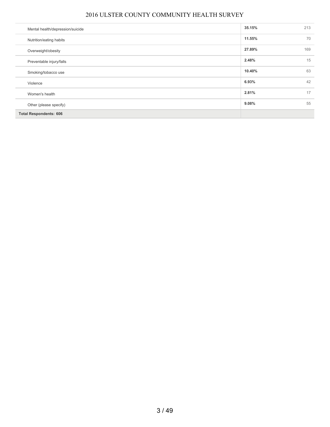| Mental health/depression/suicide | 35.15% | 213 |
|----------------------------------|--------|-----|
| Nutrition/eating habits          | 11.55% | 70  |
| Overweight/obesity               | 27.89% | 169 |
| Preventable injury/falls         | 2.48%  | 15  |
| Smoking/tobacco use              | 10.40% | 63  |
| Violence                         | 6.93%  | 42  |
| Women's health                   | 2.81%  | 17  |
| Other (please specify)           | 9.08%  | 55  |
| <b>Total Respondents: 606</b>    |        |     |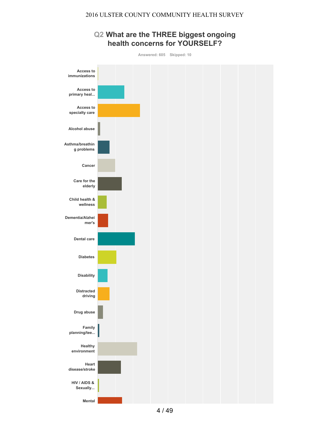## **Q2 What are the THREE biggest ongoing health concerns for YOURSELF?**



**Mental**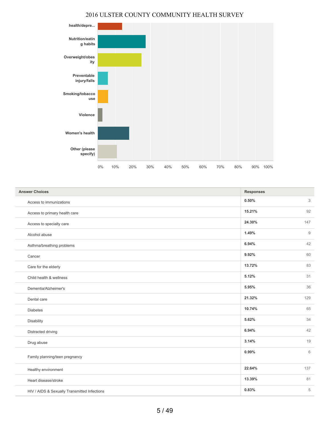

| <b>Answer Choices</b>                        | <b>Responses</b> |     |
|----------------------------------------------|------------------|-----|
| Access to immunizations                      | 0.50%            | 3   |
| Access to primary health care                | 15.21%           | 92  |
| Access to specialty care                     | 24.30%           | 147 |
| Alcohol abuse                                | 1.49%            | 9   |
| Asthma/breathing problems                    | 6.94%            | 42  |
| Cancer                                       | 9.92%            | 60  |
| Care for the elderly                         | 13.72%           | 83  |
| Child health & wellness                      | 5.12%            | 31  |
| Dementia/Alzheimer's                         | 5.95%            | 36  |
| Dental care                                  | 21.32%           | 129 |
| <b>Diabetes</b>                              | 10.74%           | 65  |
| Disability                                   | 5.62%            | 34  |
| Distracted driving                           | 6.94%            | 42  |
| Drug abuse                                   | 3.14%            | 19  |
| Family planning/teen pregnancy               | 0.99%            | 6   |
| Healthy environment                          | 22.64%           | 137 |
| Heart disease/stroke                         | 13.39%           | 81  |
| HIV / AIDS & Sexually Transmitted Infections | 0.83%            | 5   |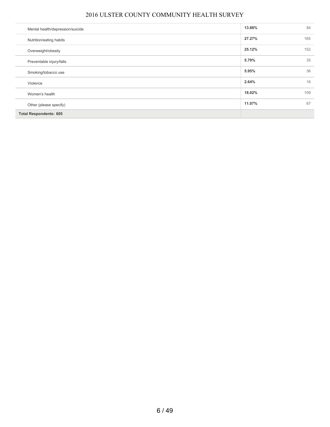| Mental health/depression/suicide | 13.88% | 84  |
|----------------------------------|--------|-----|
| Nutrition/eating habits          | 27.27% | 165 |
| Overweight/obesity               | 25.12% | 152 |
| Preventable injury/falls         | 5.79%  | 35  |
| Smoking/tobacco use              | 5.95%  | 36  |
| Violence                         | 2.64%  | 16  |
| Women's health                   | 18.02% | 109 |
| Other (please specify)           | 11.07% | 67  |
| <b>Total Respondents: 605</b>    |        |     |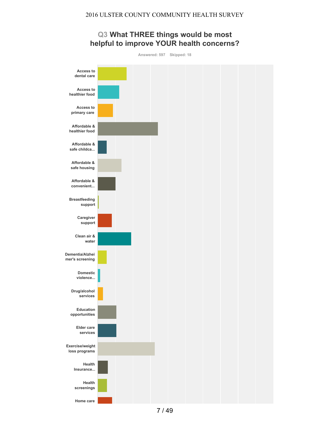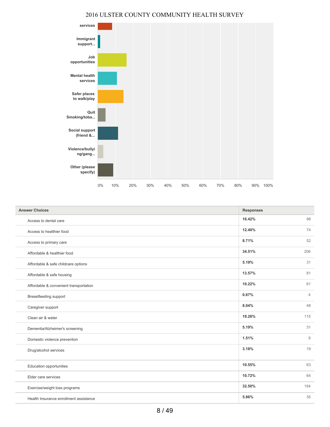

| <b>Answer Choices</b>                  | <b>Responses</b> |                |
|----------------------------------------|------------------|----------------|
| Access to dental care                  | 16.42%           | 98             |
| Access to healthier food               | 12.40%           | 74             |
| Access to primary care                 | 8.71%            | 52             |
| Affordable & healthier food            | 34.51%           | 206            |
| Affordable & safe childcare options    | 5.19%            | 31             |
| Affordable & safe housing              | 13.57%           | 81             |
| Affordable & convenient transportation | 10.22%           | 61             |
| Breastfeeding support                  | 0.67%            | $\overline{4}$ |
| Caregiver support                      | 8.04%            | 48             |
| Clean air & water                      | 19.26%           | 115            |
| Dementia/Alzheimer's screening         | 5.19%            | 31             |
| Domestic violence prevention           | 1.51%            | 9              |
| Drug/alcohol services                  | 3.18%            | 19             |
|                                        | 10.55%           | 63             |
| <b>Education opportunities</b>         |                  |                |
| Elder care services                    | 10.72%           | 64             |
| Exercise/weight loss programs          | 32.50%           | 194            |
| Health Insurance enrollment assistance | 5.86%            | 35             |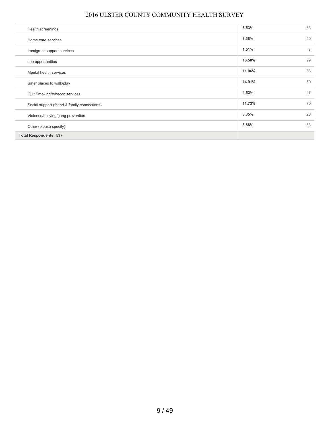| Health screenings                            | 5.53%  | 33 |
|----------------------------------------------|--------|----|
| Home care services                           | 8.38%  | 50 |
| Immigrant support services                   | 1.51%  | 9  |
| Job opportunities                            | 16.58% | 99 |
| Mental health services                       | 11.06% | 66 |
| Safer places to walk/play                    | 14.91% | 89 |
| Quit Smoking/tobacco services                | 4.52%  | 27 |
| Social support (friend & family connections) | 11.73% | 70 |
| Violence/bullying/gang prevention            | 3.35%  | 20 |
| Other (please specify)                       | 8.88%  | 53 |
| <b>Total Respondents: 597</b>                |        |    |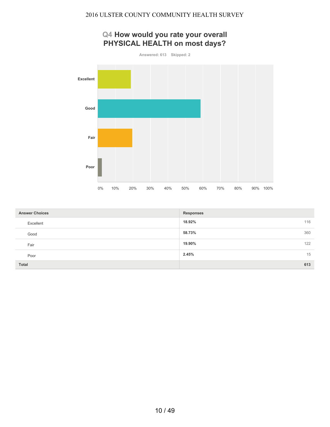## **Q4 How would you rate your overall PHYSICAL HEALTH on most days?**



| <b>Answer Choices</b> | <b>Responses</b> |
|-----------------------|------------------|
| Excellent             | 18.92%<br>116    |
| Good                  | 360<br>58.73%    |
| Fair                  | 122<br>19.90%    |
| Poor                  | 15<br>2.45%      |
| <b>Total</b>          | 613              |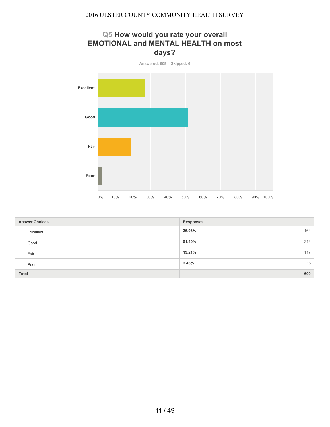## **Q5 How would you rate your overall EMOTIONAL and MENTAL HEALTH on most days?**



| <b>Answer Choices</b> | <b>Responses</b> |
|-----------------------|------------------|
| Excellent             | 26.93%<br>164    |
| Good                  | 313<br>51.40%    |
| Fair                  | 19.21%<br>117    |
| Poor                  | 15<br>2.46%      |
| Total                 | 609              |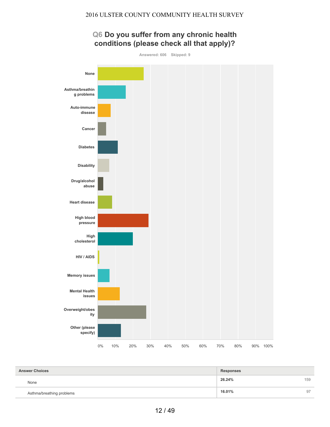

| <b>Answer Choices</b>     | <b>Responses</b> |     |
|---------------------------|------------------|-----|
| None                      | 26.24%           | 159 |
| Asthma/breathing problems | 16.01%           | 97  |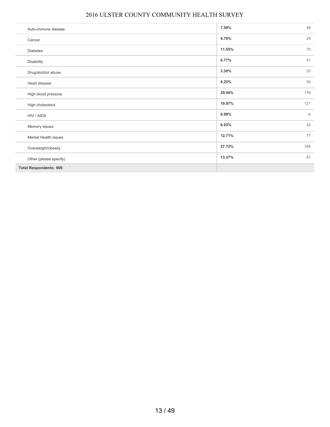| Auto-immune disease           | 7.59%  | 46  |
|-------------------------------|--------|-----|
| Cancer                        | 4.79%  | 29  |
| <b>Diabetes</b>               | 11.55% | 70  |
| Disability                    | 6.77%  | 41  |
| Drug/alcohol abuse            | 3.30%  | 20  |
| Heart disease                 | 8.25%  | 50  |
| High blood pressure           | 29.04% | 176 |
| High cholesterol              | 19.97% | 121 |
| HIV / AIDS                    | 0.99%  | 6   |
| Memory issues                 | 6.93%  | 42  |
| Mental Health issues          | 12.71% | 77  |
| Overweight/obesity            | 27.72% | 168 |
| Other (please specify)        | 13.37% | 81  |
| <b>Total Respondents: 606</b> |        |     |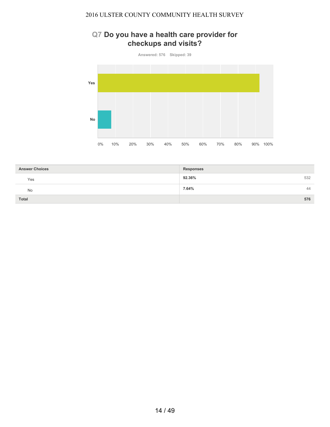## **Q7 Do you have a health care provider for checkups and visits?**



| <b>Answer Choices</b> | <b>Responses</b> |
|-----------------------|------------------|
| Yes                   | 532<br>92.36%    |
| <b>No</b>             | 7.64%<br>44      |
| Total                 | 576              |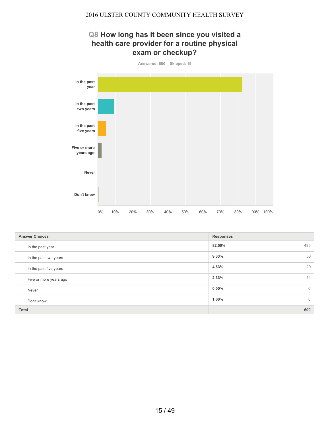## **Q8 How long has it been since you visited a health care provider for a routine physical exam or checkup?**



| <b>Answer Choices</b>  | <b>Responses</b>           |
|------------------------|----------------------------|
| In the past year       | 82.50%<br>495              |
| In the past two years  | 56<br>9.33%                |
| In the past five years | 29<br>4.83%                |
| Five or more years ago | 14<br>2.33%                |
| Never                  | $0.00\%$<br>$\overline{0}$ |
| Don't know             | 6<br>1.00%                 |
| <b>Total</b>           | 600                        |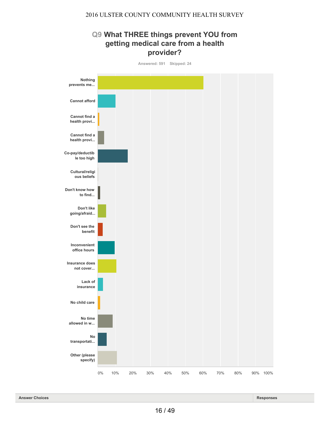## **Q9 What THREE things prevent YOU from getting medical care from a health provider?**



**Answered: 591 Skipped: 24**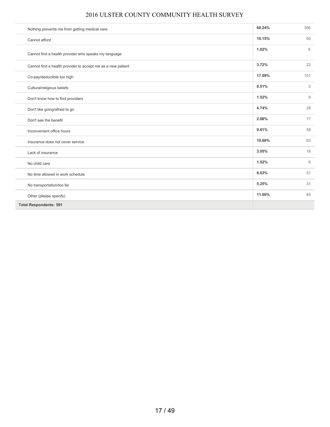| Nothing prevents me from getting medical care               | 60.24% | 356         |
|-------------------------------------------------------------|--------|-------------|
| Cannot afford                                               | 10.15% | 60          |
| Cannot find a health provider who speaks my language        | 1.02%  | 6           |
| Cannot find a health provider to accept me as a new patient | 3.72%  | 22          |
| Co-pay/deductible too high                                  | 17.09% | 101         |
| Cultural/religious beliefs                                  | 0.51%  | 3           |
| Don't know how to find providers                            | 1.52%  | 9           |
| Don't like going/afraid to go                               | 4.74%  | 28          |
| Don't see the benefit                                       | 2.88%  | 17          |
| Inconvenient office hours                                   | 9.81%  | 58          |
| Insurance does not cover service                            | 10.66% | 63          |
| Lack of insurance                                           | 3.05%  | 18          |
| No child care                                               | 1.52%  | $\mathsf g$ |
| No time allowed in work schedule                            | 8.63%  | 51          |
| No transportation/too far                                   | 5.25%  | 31          |
| Other (please specify)                                      | 11.00% | 65          |
| <b>Total Respondents: 591</b>                               |        |             |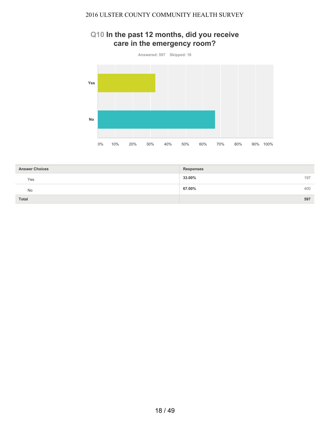## **Q10 In the past 12 months, did you receive care in the emergency room?**



| <b>Answer Choices</b> | <b>Responses</b> |
|-----------------------|------------------|
| Yes                   | 33.00%<br>197    |
| No                    | 400<br>67.00%    |
| <b>Total</b>          | 597              |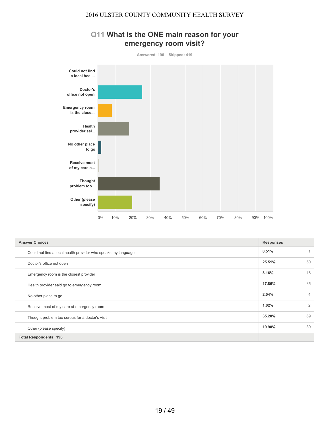

## **Q11 What is the ONE main reason for your emergency room visit?**

| <b>Answer Choices</b>                                         | <b>Responses</b> |                |
|---------------------------------------------------------------|------------------|----------------|
| Could not find a local health provider who speaks my language | 0.51%            |                |
| Doctor's office not open                                      | 25.51%           | 50             |
| Emergency room is the closest provider                        | 8.16%            | 16             |
| Health provider said go to emergency room                     | 17.86%           | 35             |
| No other place to go                                          | 2.04%            | 4              |
| Receive most of my care at emergency room                     | 1.02%            | $\overline{2}$ |
| Thought problem too serous for a doctor's visit               | 35.20%           | 69             |
| Other (please specify)                                        | 19.90%           | 39             |
| <b>Total Respondents: 196</b>                                 |                  |                |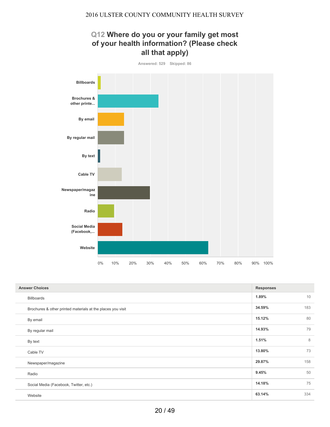

| <b>Answer Choices</b>                                       | <b>Responses</b> |
|-------------------------------------------------------------|------------------|
| Billboards                                                  | 10<br>1.89%      |
| Brochures & other printed materials at the places you visit | 183<br>34.59%    |
| By email                                                    | 80<br>15.12%     |
| By regular mail                                             | 79<br>14.93%     |
| By text                                                     | 8<br>1.51%       |
| Cable TV                                                    | 73<br>13.80%     |
| Newspaper/magazine                                          | 29.87%<br>158    |
| Radio                                                       | 50<br>9.45%      |
| Social Media (Facebook, Twitter, etc.)                      | 75<br>14.18%     |
| Website                                                     | 63.14%<br>334    |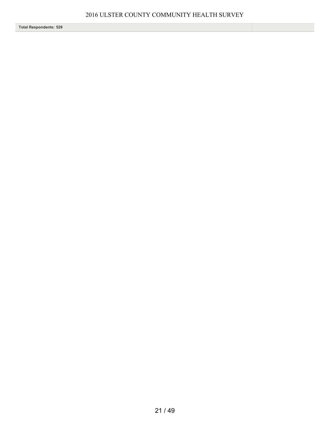**Total Respondents: 529**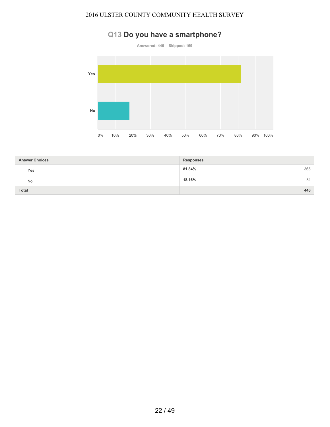## **Q13 Do you have a smartphone?**



| <b>Answer Choices</b> | <b>Responses</b> |
|-----------------------|------------------|
| Yes                   | 365<br>81.84%    |
| No                    | 18.16%<br>81     |
| <b>Total</b>          | 446              |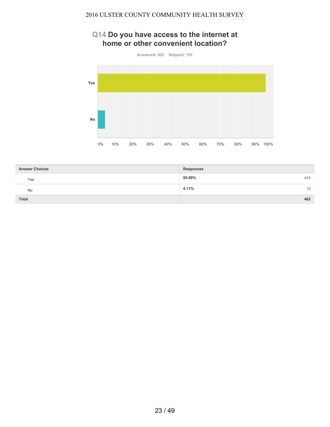## **Q14 Do you have access to the internet at home or other convenient location?**



| <b>Answer Choices</b> | <b>Responses</b> |
|-----------------------|------------------|
| Yes                   | 443<br>95.89%    |
| No                    | 4.11%<br>19      |
| <b>Total</b>          | 462              |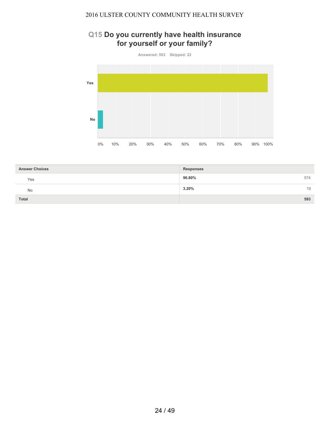## **Q15 Do you currently have health insurance for yourself or your family?**



| <b>Answer Choices</b> | <b>Responses</b> |
|-----------------------|------------------|
| Yes                   | 96.80%<br>574    |
| No                    | 3.20%<br>19      |
| Total                 | 593              |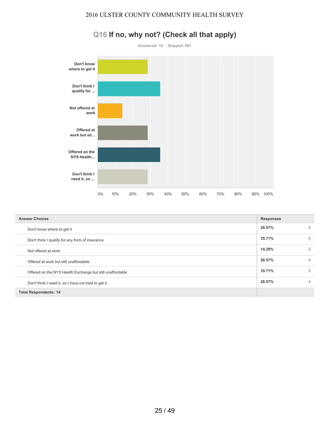

# **Q16 If no, why not? (Check all that apply)**

| <b>Answer Choices</b>                                     | <b>Responses</b> |   |
|-----------------------------------------------------------|------------------|---|
| Don't know where to get it                                | 28.57%           | 4 |
| Don't think I qualify for any form of insurance           | 35.71%           | 5 |
| Not offered at work                                       | 14.29%           | 2 |
| Offered at work but still unaffordable                    | 28.57%           | 4 |
| Offered on the NYS Health Exchange but still unaffordable | 35.71%           | 5 |
| Don't think I need it, so I have not tried to get it      | 28.57%           | 4 |
| <b>Total Respondents: 14</b>                              |                  |   |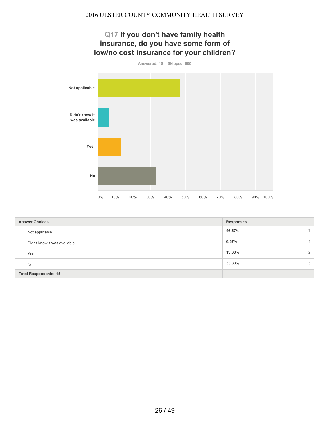

| <b>Answer Choices</b>        | <b>Responses</b> |               |
|------------------------------|------------------|---------------|
| Not applicable               | 46.67%           | $\rightarrow$ |
| Didn't know it was available | 6.67%            |               |
| Yes                          | 13.33%           | 2             |
| <b>No</b>                    | 33.33%           | 5             |
| <b>Total Respondents: 15</b> |                  |               |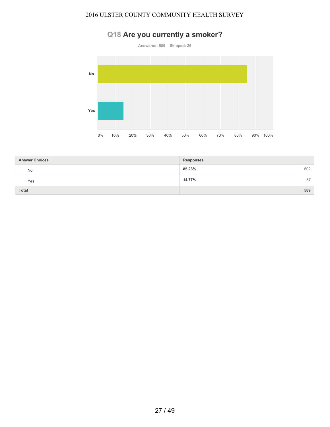# **Q18 Are you currently a smoker?**



| <b>Answer Choices</b> | <b>Responses</b> |
|-----------------------|------------------|
| <b>No</b>             | 502<br>85.23%    |
| Yes                   | 14.77%<br>87     |
| <b>Total</b>          | 589              |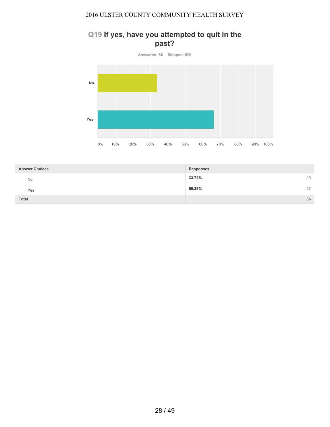## **Q19 If yes, have you attempted to quit in the past?**

**Answered: 86 Skipped: 529 No Yes** 0% 10% 20% 30% 40% 50% 60% 70% 80% 90% 100%

| <b>Answer Choices</b> | <b>Responses</b> |
|-----------------------|------------------|
| <b>No</b>             | 33.72%<br>29     |
| Yes                   | 66.28%<br>57     |
| <b>Total</b>          | 86               |

28 / 49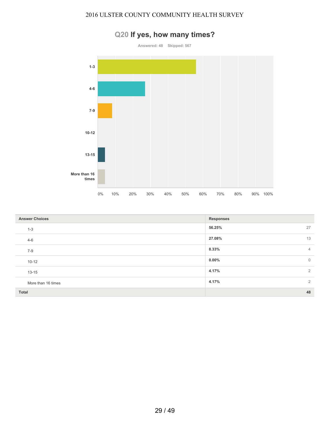

|  |  |  |  | Q20 If yes, how many times? |
|--|--|--|--|-----------------------------|
|--|--|--|--|-----------------------------|

| <b>Answer Choices</b> | <b>Responses</b>        |
|-----------------------|-------------------------|
| $1 - 3$               | 56.25%<br>27            |
| $4 - 6$               | 27.08%<br>13            |
| $7-9$                 | 8.33%<br>$\overline{4}$ |
| $10 - 12$             | $0.00\%$<br>$\mathbf 0$ |
| $13 - 15$             | 2<br>4.17%              |
| More than 16 times    | 4.17%<br>$\overline{2}$ |
| Total                 | 48                      |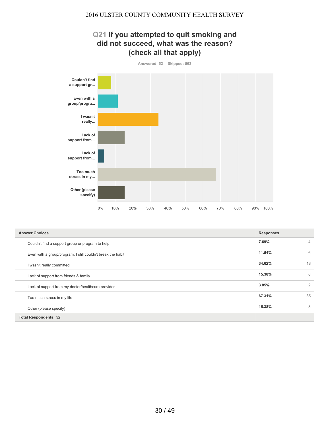## **Q21 If you attempted to quit smoking and did not succeed, what was the reason? (check all that apply)**



| <b>Answer Choices</b>                                       | <b>Responses</b> |                |
|-------------------------------------------------------------|------------------|----------------|
| Couldn't find a support group or program to help            | 7.69%            | $\overline{4}$ |
| Even with a group/program, I still couldn't break the habit | 11.54%           | 6              |
| I wasn't really committed                                   | 34.62%           | 18             |
| Lack of support from friends & family                       | 15.38%           | 8              |
| Lack of support from my doctor/healthcare provider          | 3.85%            | 2              |
| Too much stress in my life                                  | 67.31%           | 35             |
| Other (please specify)                                      | 15.38%           | 8              |
| <b>Total Respondents: 52</b>                                |                  |                |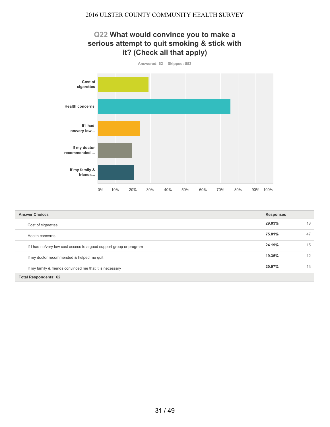## **Q22 What would convince you to make a serious attempt to quit smoking & stick with it? (Check all that apply)**



| <b>Answer Choices</b>                                               | <b>Responses</b> |    |
|---------------------------------------------------------------------|------------------|----|
| Cost of cigarettes                                                  | 29.03%           | 18 |
| Health concerns                                                     | 75.81%           | 47 |
| If I had no/very low cost access to a good support group or program | 24.19%           | 15 |
| If my doctor recommended & helped me quit                           | 19.35%           | 12 |
| If my family & friends convinced me that it is necessary            | 20.97%           | 13 |
| <b>Total Respondents: 62</b>                                        |                  |    |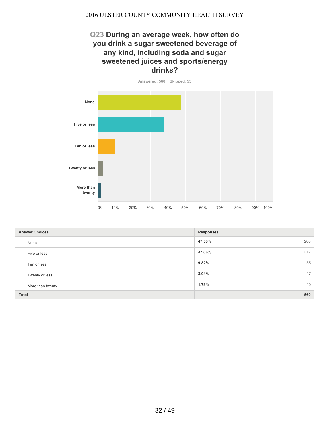## **Q23 During an average week, how often do you drink a sugar sweetened beverage of any kind, including soda and sugar sweetened juices and sports/energy drinks?**



| <b>Answer Choices</b> | <b>Responses</b> |
|-----------------------|------------------|
| None                  | 47.50%<br>266    |
| Five or less          | 212<br>37.86%    |
| Ten or less           | 55<br>9.82%      |
| Twenty or less        | 3.04%<br>17      |
| More than twenty      | 10<br>1.79%      |
| <b>Total</b>          | 560              |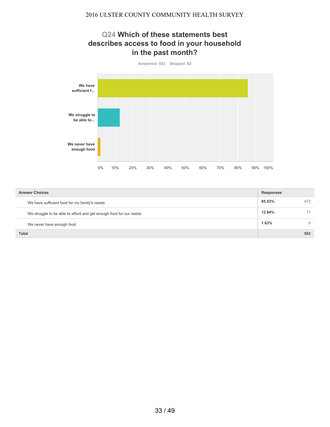## **Q24 Which of these statements best describes access to food in your household in the past month?**



| <b>Answer Choices</b>                                              | <b>Responses</b> |     |
|--------------------------------------------------------------------|------------------|-----|
| We have sufficient food for my family's needs                      | 85.53%           | 473 |
| We struggle to be able to afford and get enough food for our needs | 12.84%           | 71  |
| We never have enough food                                          | 1.63%            | 9   |
| <b>Total</b>                                                       |                  | 553 |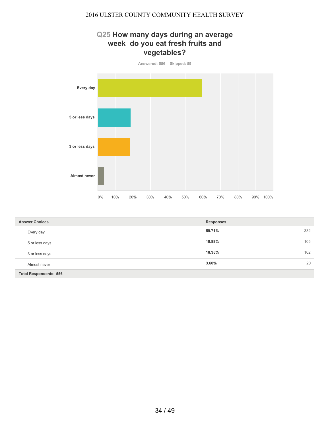## **Q25 How many days during an average week do you eat fresh fruits and vegetables?**



| <b>Answer Choices</b>         | <b>Responses</b> |
|-------------------------------|------------------|
| Every day                     | 59.71%<br>332    |
| 5 or less days                | 18.88%<br>105    |
| 3 or less days                | 18.35%<br>102    |
| Almost never                  | 20<br>3.60%      |
| <b>Total Respondents: 556</b> |                  |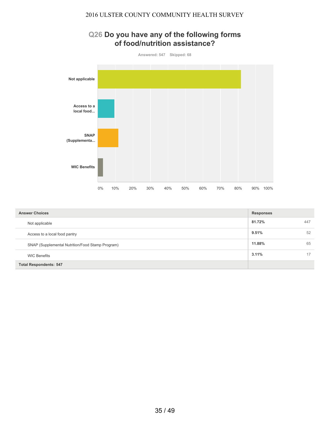

| <b>Answer Choices</b>                            | <b>Responses</b> |     |
|--------------------------------------------------|------------------|-----|
| Not applicable                                   | 81.72%           | 447 |
| Access to a local food pantry                    | 9.51%            | 52  |
| SNAP (Supplemental Nutrition/Food Stamp Program) | 11.88%           | 65  |
| <b>WIC Benefits</b>                              | $3.11\%$         | 17  |
| <b>Total Respondents: 547</b>                    |                  |     |

## **Q26 Do you have any of the following forms of food/nutrition assistance?**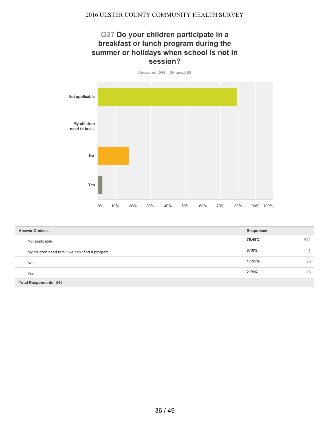## **Q27 Do your children participate in a breakfast or lunch program during the summer or holidays when school is not in session?**

**Answered: 546 Skipped: 69 Not applicable My children need to but ... No Yes** 0% 10% 20% 30% 40% 50% 60% 70% 80% 90% 100%

| <b>Answer Choices</b>                           | <b>Responses</b> |     |
|-------------------------------------------------|------------------|-----|
| Not applicable                                  | 79.49%           | 434 |
| My children need to but we can't find a program | 0.18%            |     |
| <b>No</b>                                       | 17.95%           | 98  |
| Yes                                             | 2.75%            | 15  |
| <b>Total Respondents: 546</b>                   |                  |     |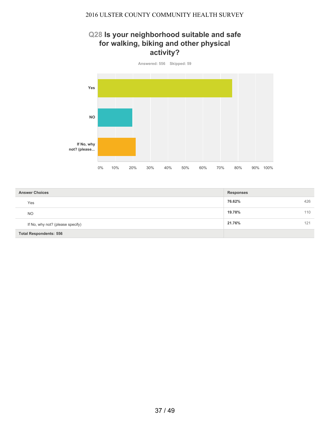## **Q28 Is your neighborhood suitable and safe for walking, biking and other physical activity?**



| <b>Answer Choices</b>            | <b>Responses</b> |
|----------------------------------|------------------|
| Yes                              | 76.62%<br>426    |
| <b>NO</b>                        | 19.78%<br>110    |
| If No, why not? (please specify) | 21.76%<br>121    |
| <b>Total Respondents: 556</b>    |                  |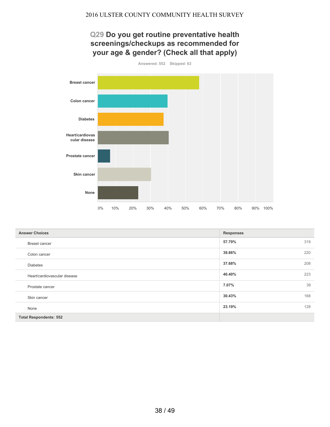## **Q29 Do you get routine preventative health screenings/checkups as recommended for your age & gender? (Check all that apply)**



| <b>Answer Choices</b>         | <b>Responses</b> |     |
|-------------------------------|------------------|-----|
| Breast cancer                 | 57.79%           | 319 |
| Colon cancer                  | 39.86%           | 220 |
| <b>Diabetes</b>               | 37.68%           | 208 |
| Heart/cardiovascular disease  | 40.40%           | 223 |
| Prostate cancer               | 7.07%            | 39  |
| Skin cancer                   | 30.43%           | 168 |
| None                          | 23.19%           | 128 |
| <b>Total Respondents: 552</b> |                  |     |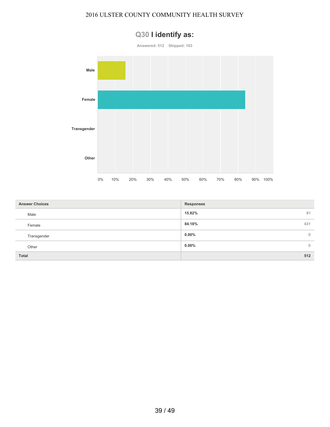

# **Q30 I identify as:**

| <b>Answer Choices</b> | <b>Responses</b>     |
|-----------------------|----------------------|
| Male                  | 15.82%<br>81         |
| Female                | 84.18%<br>431        |
| Transgender           | $0.00\%$<br>$\Omega$ |
| Other                 | $0.00\%$<br>0        |
| <b>Total</b>          | 512                  |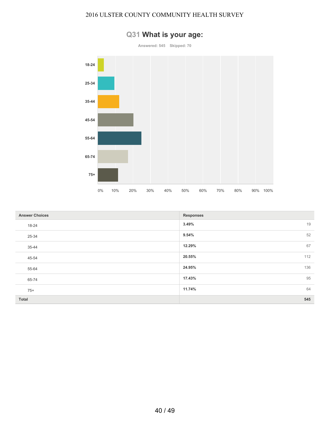

## **Q31 What is your age:**

| <b>Answer Choices</b> | <b>Responses</b> |
|-----------------------|------------------|
| 18-24                 | 3.49%<br>19      |
| 25-34                 | 52<br>9.54%      |
| 35-44                 | 67<br>12.29%     |
| 45-54                 | 112<br>20.55%    |
| 55-64                 | 136<br>24.95%    |
| 65-74                 | 95<br>17.43%     |
| $75+$                 | 64<br>11.74%     |
| Total                 | 545              |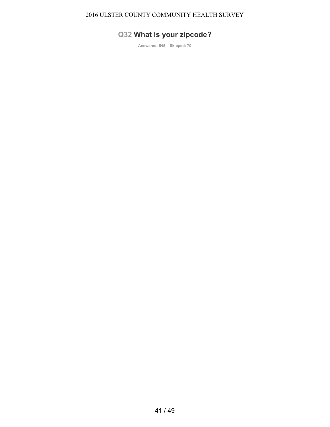# **Q32 What is your zipcode?**

**Answered: 545 Skipped: 70**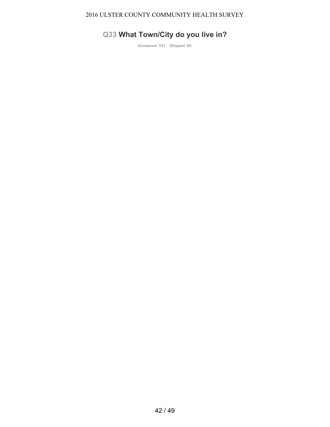# **Q33 What Town/City do you live in?**

**Answered: 531 Skipped: 84**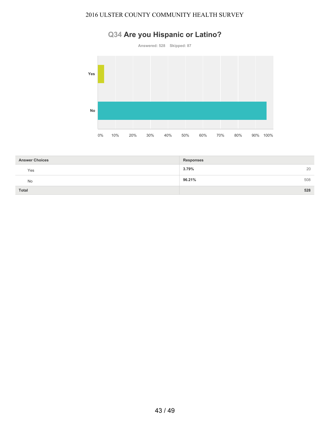# **Q34 Are you Hispanic or Latino?**





| <b>Answer Choices</b> | <b>Responses</b> |
|-----------------------|------------------|
| Yes                   | 3.79%<br>20      |
| No                    | 508<br>96.21%    |
| <b>Total</b>          | 528              |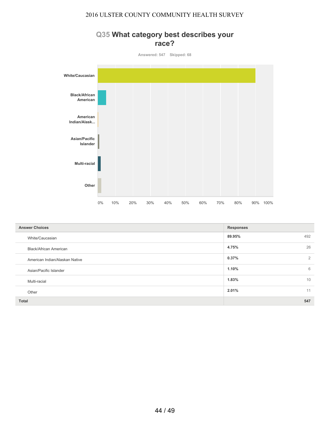## **Q35 What category best describes your race?**



| <b>Answer Choices</b>          | <b>Responses</b> |    |
|--------------------------------|------------------|----|
| White/Caucasian                | 492<br>89.95%    |    |
| Black/African American         | 4.75%            | 26 |
| American Indian/Alaskan Native | 0.37%            | 2  |
| Asian/Pacific Islander         | 1.10%            | 6  |
| Multi-racial                   | 1.83%            | 10 |
| Other                          | 2.01%            | 11 |
| <b>Total</b>                   | 547              |    |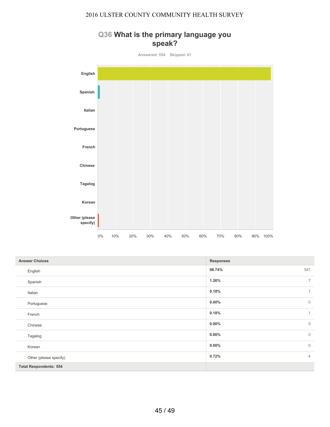



| <b>Answer Choices</b>         | <b>Responses</b>         |
|-------------------------------|--------------------------|
| English                       | 98.74%<br>547            |
| Spanish                       | $\overline{7}$<br>1.26%  |
| Italian                       | 0.18%<br>1               |
| Portuguese                    | $0.00\%$<br>$\mathbf 0$  |
| French                        | 0.18%<br>1               |
| Chinese                       | $0.00\%$<br>$\mathbf 0$  |
| Tagalog                       | $\mathbf{0}$<br>$0.00\%$ |
| Korean                        | $\mathbb O$<br>$0.00\%$  |
| Other (please specify)        | $\overline{4}$<br>0.72%  |
| <b>Total Respondents: 554</b> |                          |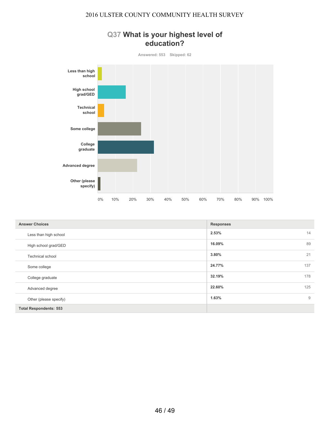

| <b>Answer Choices</b>         | <b>Responses</b> |
|-------------------------------|------------------|
| Less than high school         | 2.53%<br>14      |
| High school grad/GED          | 89<br>16.09%     |
| Technical school              | 21<br>3.80%      |
| Some college                  | 137<br>24.77%    |
| College graduate              | 32.19%<br>178    |
| Advanced degree               | 125<br>22.60%    |
| Other (please specify)        | 9<br>1.63%       |
| <b>Total Respondents: 553</b> |                  |

## **Q37 What is your highest level of education?**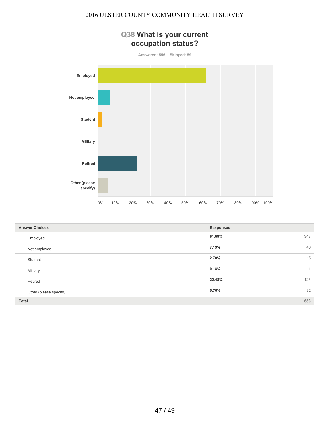# **Q38 What is your current occupation status? Answered: 556 Skipped: 59 Employed Not employed Student Military Retired Other (please specify)** 0% 10% 20% 30% 40% 50% 60% 70% 80% 90% 100%

| <b>Answer Choices</b>  | <b>Responses</b>      |
|------------------------|-----------------------|
| Employed               | 61.69%<br>343         |
| Not employed           | 40<br>7.19%           |
| Student                | 15<br>2.70%           |
| Military               | 0.18%<br>$\mathbf{1}$ |
| Retired                | 22.48%<br>125         |
| Other (please specify) | 32<br>5.76%           |
| <b>Total</b>           | 556                   |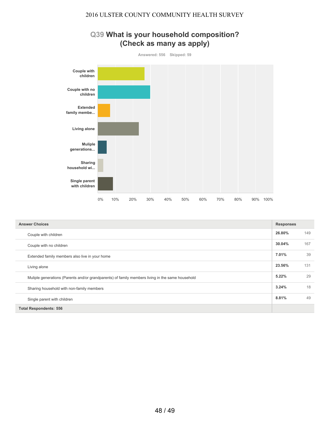## **Q39 What is your household composition? (Check as many as apply)**



| <b>Answer Choices</b>                                                                            |        | <b>Responses</b> |  |
|--------------------------------------------------------------------------------------------------|--------|------------------|--|
| Couple with children                                                                             | 26.80% | 149              |  |
| Couple with no children                                                                          | 30.04% | 167              |  |
| Extended family members also live in your home                                                   | 7.01%  | 39               |  |
| Living alone                                                                                     | 23.56% | 131              |  |
| Muliple generations (Parents and/or grandparents) of family members living in the same household | 5.22%  | 29               |  |
| Sharing household with non-family members                                                        | 3.24%  | 18               |  |
| Single parent with children                                                                      | 8.81%  | 49               |  |
| <b>Total Respondents: 556</b>                                                                    |        |                  |  |